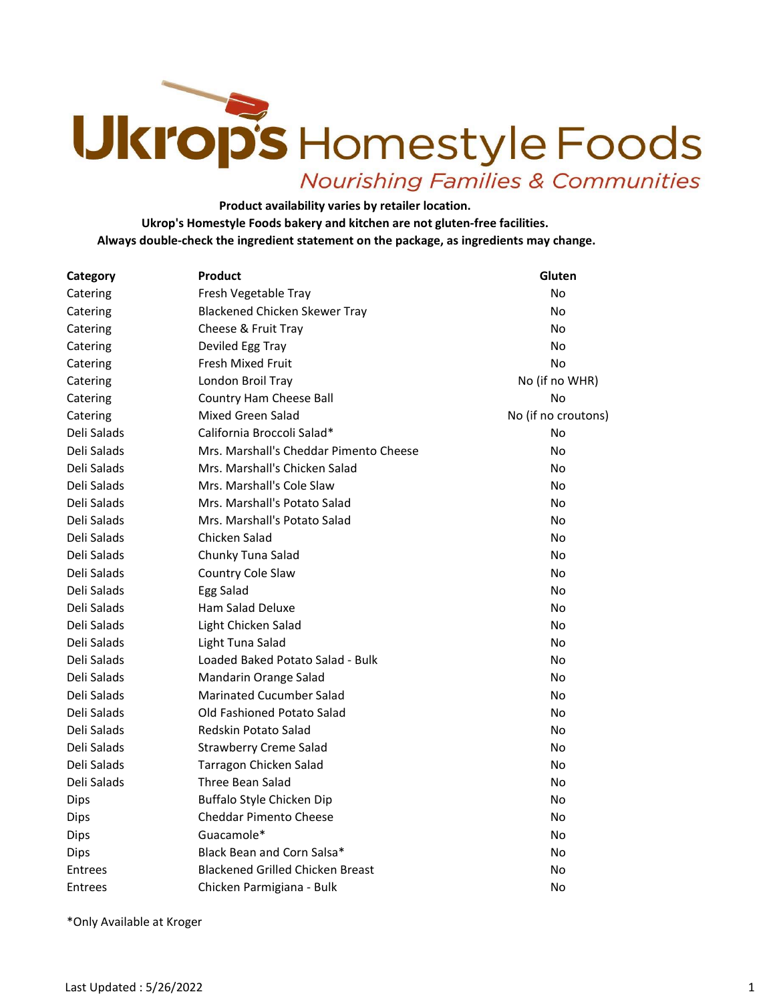## Ukrops Homestyle Foods **Nourishing Families & Communities**

Product availability varies by retailer location. Ukrop's Homestyle Foods bakery and kitchen are not gluten-free facilities. Always double-check the ingredient statement on the package, as ingredients may change.

| Category    | Product                                 | Gluten              |
|-------------|-----------------------------------------|---------------------|
| Catering    | Fresh Vegetable Tray                    | No                  |
| Catering    | <b>Blackened Chicken Skewer Tray</b>    | No                  |
| Catering    | Cheese & Fruit Tray                     | No                  |
| Catering    | Deviled Egg Tray                        | No                  |
| Catering    | Fresh Mixed Fruit                       | No                  |
| Catering    | London Broil Tray                       | No (if no WHR)      |
| Catering    | Country Ham Cheese Ball                 | No                  |
| Catering    | Mixed Green Salad                       | No (if no croutons) |
| Deli Salads | California Broccoli Salad*              | No                  |
| Deli Salads | Mrs. Marshall's Cheddar Pimento Cheese  | No                  |
| Deli Salads | Mrs. Marshall's Chicken Salad           | No                  |
| Deli Salads | Mrs. Marshall's Cole Slaw               | No                  |
| Deli Salads | Mrs. Marshall's Potato Salad            | No                  |
| Deli Salads | Mrs. Marshall's Potato Salad            | No                  |
| Deli Salads | Chicken Salad                           | No                  |
| Deli Salads | Chunky Tuna Salad                       | No                  |
| Deli Salads | Country Cole Slaw                       | No                  |
| Deli Salads | Egg Salad                               | No                  |
| Deli Salads | Ham Salad Deluxe                        | No                  |
| Deli Salads | Light Chicken Salad                     | No                  |
| Deli Salads | Light Tuna Salad                        | No                  |
| Deli Salads | Loaded Baked Potato Salad - Bulk        | No                  |
| Deli Salads | Mandarin Orange Salad                   | No                  |
| Deli Salads | <b>Marinated Cucumber Salad</b>         | No                  |
| Deli Salads | Old Fashioned Potato Salad              | No                  |
| Deli Salads | Redskin Potato Salad                    | No                  |
| Deli Salads | <b>Strawberry Creme Salad</b>           | No                  |
| Deli Salads | Tarragon Chicken Salad                  | No                  |
| Deli Salads | Three Bean Salad                        | No                  |
| Dips        | Buffalo Style Chicken Dip               | No                  |
| Dips        | <b>Cheddar Pimento Cheese</b>           | No                  |
| Dips        | Guacamole*                              | No                  |
| Dips        | Black Bean and Corn Salsa*              | No                  |
| Entrees     | <b>Blackened Grilled Chicken Breast</b> | No                  |
| Entrees     | Chicken Parmigiana - Bulk               | No                  |

\*Only Available at Kroger